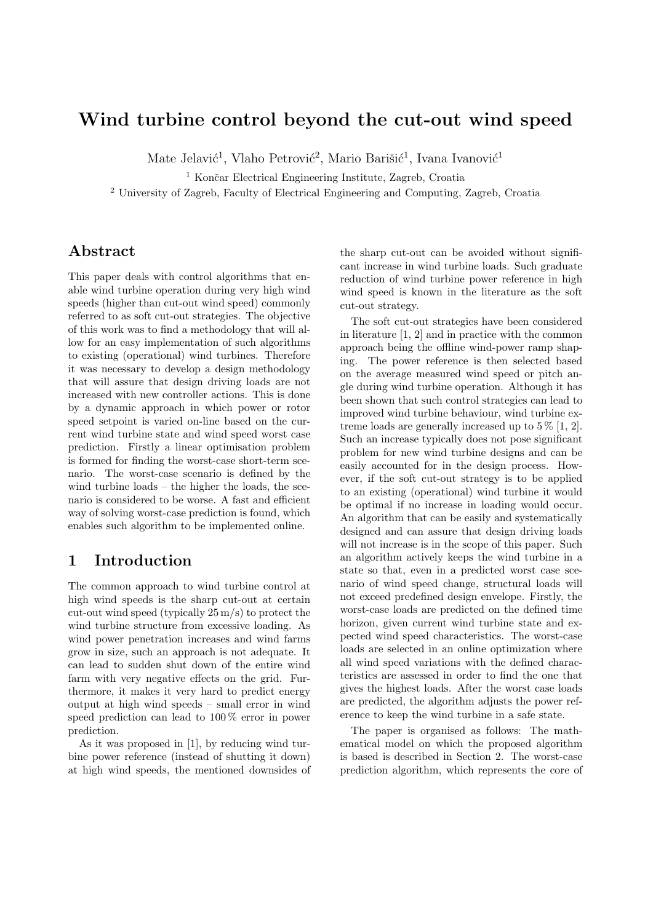# Wind turbine control beyond the cut-out wind speed

Mate Jelavić<sup>1</sup>, Vlaho Petrović<sup>2</sup>, Mario Barišić<sup>1</sup>, Ivana Ivanović<sup>1</sup>

 $1$  Končar Electrical Engineering Institute, Zagreb, Croatia

<sup>2</sup> University of Zagreb, Faculty of Electrical Engineering and Computing, Zagreb, Croatia

## Abstract

This paper deals with control algorithms that enable wind turbine operation during very high wind speeds (higher than cut-out wind speed) commonly referred to as soft cut-out strategies. The objective of this work was to find a methodology that will allow for an easy implementation of such algorithms to existing (operational) wind turbines. Therefore it was necessary to develop a design methodology that will assure that design driving loads are not increased with new controller actions. This is done by a dynamic approach in which power or rotor speed setpoint is varied on-line based on the current wind turbine state and wind speed worst case prediction. Firstly a linear optimisation problem is formed for finding the worst-case short-term scenario. The worst-case scenario is defined by the wind turbine loads – the higher the loads, the scenario is considered to be worse. A fast and efficient way of solving worst-case prediction is found, which enables such algorithm to be implemented online.

### 1 Introduction

The common approach to wind turbine control at high wind speeds is the sharp cut-out at certain cut-out wind speed (typically 25 m/s) to protect the wind turbine structure from excessive loading. As wind power penetration increases and wind farms grow in size, such an approach is not adequate. It can lead to sudden shut down of the entire wind farm with very negative effects on the grid. Furthermore, it makes it very hard to predict energy output at high wind speeds – small error in wind speed prediction can lead to 100 % error in power prediction.

As it was proposed in [1], by reducing wind turbine power reference (instead of shutting it down) at high wind speeds, the mentioned downsides of the sharp cut-out can be avoided without significant increase in wind turbine loads. Such graduate reduction of wind turbine power reference in high wind speed is known in the literature as the soft cut-out strategy.

The soft cut-out strategies have been considered in literature [1, 2] and in practice with the common approach being the offline wind-power ramp shaping. The power reference is then selected based on the average measured wind speed or pitch angle during wind turbine operation. Although it has been shown that such control strategies can lead to improved wind turbine behaviour, wind turbine extreme loads are generally increased up to  $5\%$  [1, 2]. Such an increase typically does not pose significant problem for new wind turbine designs and can be easily accounted for in the design process. However, if the soft cut-out strategy is to be applied to an existing (operational) wind turbine it would be optimal if no increase in loading would occur. An algorithm that can be easily and systematically designed and can assure that design driving loads will not increase is in the scope of this paper. Such an algorithm actively keeps the wind turbine in a state so that, even in a predicted worst case scenario of wind speed change, structural loads will not exceed predefined design envelope. Firstly, the worst-case loads are predicted on the defined time horizon, given current wind turbine state and expected wind speed characteristics. The worst-case loads are selected in an online optimization where all wind speed variations with the defined characteristics are assessed in order to find the one that gives the highest loads. After the worst case loads are predicted, the algorithm adjusts the power reference to keep the wind turbine in a safe state.

The paper is organised as follows: The mathematical model on which the proposed algorithm is based is described in Section 2. The worst-case prediction algorithm, which represents the core of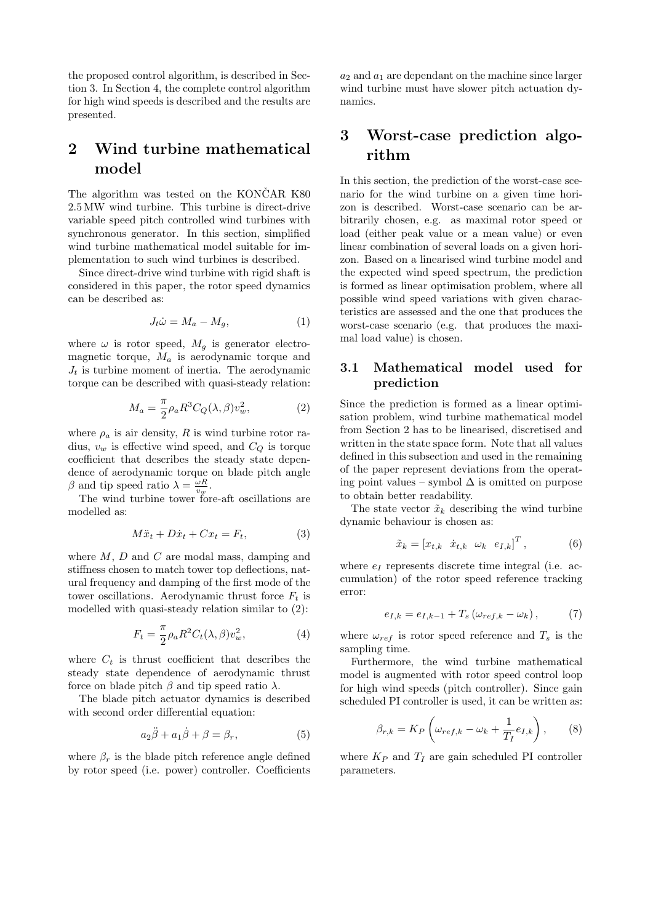the proposed control algorithm, is described in Section 3. In Section 4, the complete control algorithm for high wind speeds is described and the results are presented.

## 2 Wind turbine mathematical model

The algorithm was tested on the KONCAR K80 2.5 MW wind turbine. This turbine is direct-drive variable speed pitch controlled wind turbines with synchronous generator. In this section, simplified wind turbine mathematical model suitable for implementation to such wind turbines is described.

Since direct-drive wind turbine with rigid shaft is considered in this paper, the rotor speed dynamics can be described as:

$$
J_t \dot{\omega} = M_a - M_g,\tag{1}
$$

where  $\omega$  is rotor speed,  $M_g$  is generator electromagnetic torque,  $M_a$  is aerodynamic torque and  $J_t$  is turbine moment of inertia. The aerodynamic torque can be described with quasi-steady relation:

$$
M_a = \frac{\pi}{2} \rho_a R^3 C_Q(\lambda, \beta) v_w^2, \qquad (2)
$$

where  $\rho_a$  is air density, R is wind turbine rotor radius,  $v_w$  is effective wind speed, and  $C_Q$  is torque coefficient that describes the steady state dependence of aerodynamic torque on blade pitch angle β and tip speed ratio  $\lambda = \frac{\omega R}{v_{\text{max}}}$ .

The wind turbine tower fore-aft oscillations are modelled as:

$$
M\ddot{x}_t + D\dot{x}_t + Cx_t = F_t,\tag{3}
$$

where  $M$ ,  $D$  and  $C$  are modal mass, damping and stiffness chosen to match tower top deflections, natural frequency and damping of the first mode of the tower oscillations. Aerodynamic thrust force  $F_t$  is modelled with quasi-steady relation similar to (2):

$$
F_t = \frac{\pi}{2} \rho_a R^2 C_t(\lambda, \beta) v_w^2, \tag{4}
$$

where  $C_t$  is thrust coefficient that describes the steady state dependence of aerodynamic thrust force on blade pitch  $\beta$  and tip speed ratio  $\lambda$ .

The blade pitch actuator dynamics is described with second order differential equation:

$$
a_2\ddot{\beta} + a_1\dot{\beta} + \beta = \beta_r, \tag{5}
$$

where  $\beta_r$  is the blade pitch reference angle defined by rotor speed (i.e. power) controller. Coefficients  $a_2$  and  $a_1$  are dependant on the machine since larger wind turbine must have slower pitch actuation dynamics.

## 3 Worst-case prediction algorithm

In this section, the prediction of the worst-case scenario for the wind turbine on a given time horizon is described. Worst-case scenario can be arbitrarily chosen, e.g. as maximal rotor speed or load (either peak value or a mean value) or even linear combination of several loads on a given horizon. Based on a linearised wind turbine model and the expected wind speed spectrum, the prediction is formed as linear optimisation problem, where all possible wind speed variations with given characteristics are assessed and the one that produces the worst-case scenario (e.g. that produces the maximal load value) is chosen.

#### 3.1 Mathematical model used for prediction

Since the prediction is formed as a linear optimisation problem, wind turbine mathematical model from Section 2 has to be linearised, discretised and written in the state space form. Note that all values defined in this subsection and used in the remaining of the paper represent deviations from the operating point values – symbol ∆ is omitted on purpose to obtain better readability.

The state vector  $\tilde{x}_k$  describing the wind turbine dynamic behaviour is chosen as:

$$
\tilde{x}_k = \begin{bmatrix} x_{t,k} & \dot{x}_{t,k} & \omega_k & e_{I,k} \end{bmatrix}^T, \tag{6}
$$

where  $e_I$  represents discrete time integral (i.e. accumulation) of the rotor speed reference tracking error:

$$
e_{I,k} = e_{I,k-1} + T_s \left( \omega_{ref,k} - \omega_k \right), \tag{7}
$$

where  $\omega_{ref}$  is rotor speed reference and  $T_s$  is the sampling time.

Furthermore, the wind turbine mathematical model is augmented with rotor speed control loop for high wind speeds (pitch controller). Since gain scheduled PI controller is used, it can be written as:

$$
\beta_{r,k} = K_P \left( \omega_{ref,k} - \omega_k + \frac{1}{T_I} e_{I,k} \right), \qquad (8)
$$

where  $K_P$  and  $T_I$  are gain scheduled PI controller parameters.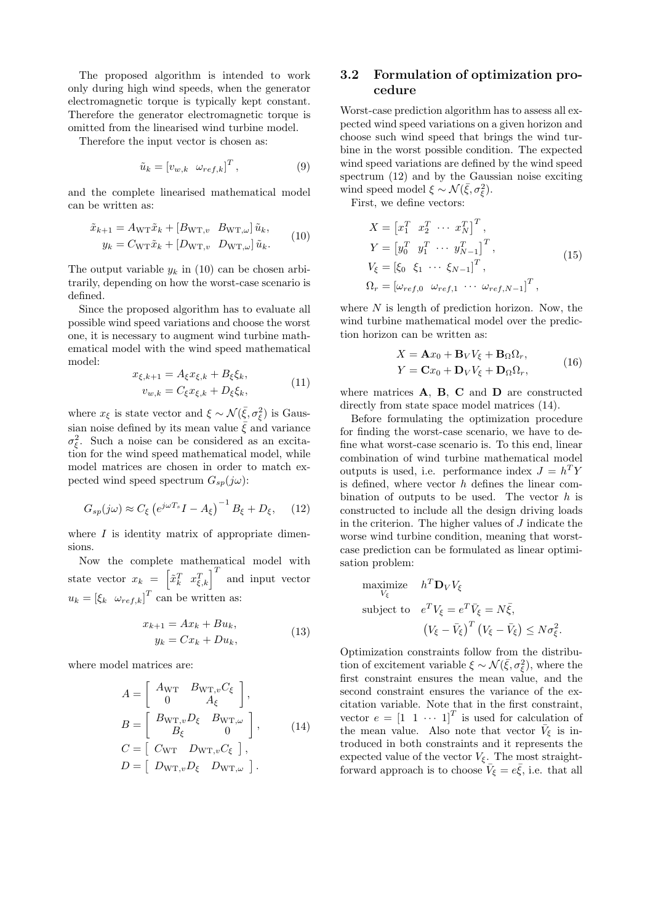The proposed algorithm is intended to work only during high wind speeds, when the generator electromagnetic torque is typically kept constant. Therefore the generator electromagnetic torque is omitted from the linearised wind turbine model.

Therefore the input vector is chosen as:

$$
\tilde{u}_k = \begin{bmatrix} v_{w,k} & \omega_{ref,k} \end{bmatrix}^T, \tag{9}
$$

and the complete linearised mathematical model can be written as:

$$
\tilde{x}_{k+1} = A_{\text{WT}} \tilde{x}_k + [B_{\text{WT},v} \ B_{\text{WT},\omega}] \tilde{u}_k, \ny_k = C_{\text{WT}} \tilde{x}_k + [D_{\text{WT},v} \ D_{\text{WT},\omega}] \tilde{u}_k.
$$
\n(10)

The output variable  $y_k$  in (10) can be chosen arbitrarily, depending on how the worst-case scenario is defined.

Since the proposed algorithm has to evaluate all possible wind speed variations and choose the worst one, it is necessary to augment wind turbine mathematical model with the wind speed mathematical model:

$$
x_{\xi,k+1} = A_{\xi} x_{\xi,k} + B_{\xi} \xi_k,
$$
  
\n
$$
v_{w,k} = C_{\xi} x_{\xi,k} + D_{\xi} \xi_k,
$$
\n(11)

where  $x_{\xi}$  is state vector and  $\xi \sim \mathcal{N}(\bar{\xi}, \sigma_{\xi}^2)$  is Gaussian noise defined by its mean value  $\bar{\xi}$  and variance  $\sigma_{\xi}^2$ . Such a noise can be considered as an excitation for the wind speed mathematical model, while model matrices are chosen in order to match expected wind speed spectrum  $G_{sp}(j\omega)$ :

$$
G_{sp}(j\omega) \approx C_{\xi} \left( e^{j\omega T_s} I - A_{\xi} \right)^{-1} B_{\xi} + D_{\xi}, \quad (12)
$$

where  $I$  is identity matrix of appropriate dimensions.

Now the complete mathematical model with state vector  $x_k = \begin{bmatrix} \tilde{x}_k^T & x_{\xi,k}^T \end{bmatrix}^T$  and input vector  $u_k = [\xi_k \ \omega_{ref,k}]^T$  can be written as:

$$
x_{k+1} = Ax_k + Bu_k,
$$
  
\n
$$
y_k = Cx_k + Du_k,
$$
\n(13)

where model matrices are:

$$
A = \begin{bmatrix} A_{\text{WT}} & B_{\text{WT},v}C_{\xi} \\ 0 & A_{\xi} \end{bmatrix},
$$
  
\n
$$
B = \begin{bmatrix} B_{\text{WT},v}D_{\xi} & B_{\text{WT},\omega} \\ B_{\xi} & 0 \end{bmatrix},
$$
  
\n
$$
C = \begin{bmatrix} C_{\text{WT}} & D_{\text{WT},v}C_{\xi} \end{bmatrix},
$$
  
\n
$$
D = \begin{bmatrix} D_{\text{WT},v}D_{\xi} & D_{\text{WT},\omega} \end{bmatrix}.
$$
 (14)

#### 3.2 Formulation of optimization procedure

Worst-case prediction algorithm has to assess all expected wind speed variations on a given horizon and choose such wind speed that brings the wind turbine in the worst possible condition. The expected wind speed variations are defined by the wind speed spectrum (12) and by the Gaussian noise exciting wind speed model  $\xi \sim \mathcal{N}(\bar{\xi}, \sigma_{\xi}^2)$ .

First, we define vectors:

$$
X = \begin{bmatrix} x_1^T & x_2^T & \cdots & x_N^T \end{bmatrix}^T,
$$
  
\n
$$
Y = \begin{bmatrix} y_0^T & y_1^T & \cdots & y_{N-1}^T \end{bmatrix}^T,
$$
  
\n
$$
V_{\xi} = \begin{bmatrix} \xi_0 & \xi_1 & \cdots & \xi_{N-1} \end{bmatrix}^T,
$$
  
\n
$$
\Omega_r = \begin{bmatrix} \omega_{ref,0} & \omega_{ref,1} & \cdots & \omega_{ref,N-1} \end{bmatrix}^T,
$$
\n(15)

where  $N$  is length of prediction horizon. Now, the wind turbine mathematical model over the prediction horizon can be written as:

$$
X = \mathbf{A}x_0 + \mathbf{B}_V V_{\xi} + \mathbf{B}_{\Omega} \Omega_r,
$$
  
\n
$$
Y = \mathbf{C}x_0 + \mathbf{D}_V V_{\xi} + \mathbf{D}_{\Omega} \Omega_r,
$$
\n(16)

where matrices **A**, **B**, **C** and **D** are constructed directly from state space model matrices (14).

Before formulating the optimization procedure for finding the worst-case scenario, we have to define what worst-case scenario is. To this end, linear combination of wind turbine mathematical model outputs is used, i.e. performance index  $J = h^T Y$ is defined, where vector  $h$  defines the linear combination of outputs to be used. The vector  $h$  is constructed to include all the design driving loads in the criterion. The higher values of J indicate the worse wind turbine condition, meaning that worstcase prediction can be formulated as linear optimisation problem:

maximize 
$$
h^T \mathbf{D}_V V_{\xi}
$$
  
\nsubject to  $e^T V_{\xi} = e^T \bar{V}_{\xi} = N \bar{\xi}$ ,  
\n $(V_{\xi} - \bar{V}_{\xi})^T (V_{\xi} - \bar{V}_{\xi}) \leq N \sigma_{\xi}^2$ .

Optimization constraints follow from the distribution of excitement variable  $\xi \sim \mathcal{N}(\bar{\xi}, \sigma_{\xi}^2)$ , where the first constraint ensures the mean value, and the second constraint ensures the variance of the excitation variable. Note that in the first constraint, vector  $e = \begin{bmatrix} 1 & 1 & \cdots & 1 \end{bmatrix}^T$  is used for calculation of the mean value. Also note that vector  $\bar{V}_{\xi}$  is introduced in both constraints and it represents the expected value of the vector  $V_{\xi}$ . The most straightforward approach is to choose  $\bar{V}_{\xi} = e \bar{\xi}$ , i.e. that all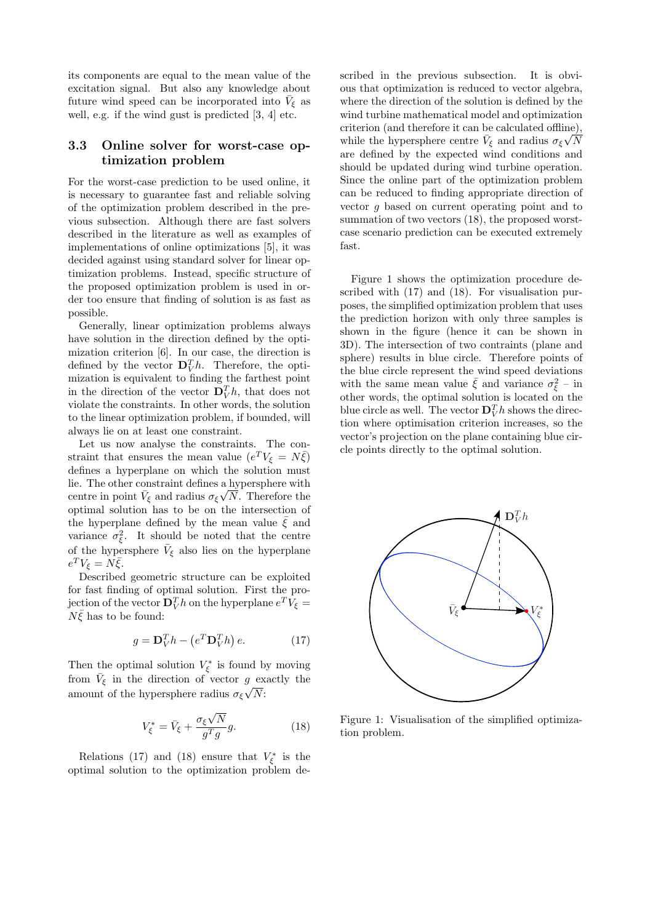its components are equal to the mean value of the excitation signal. But also any knowledge about future wind speed can be incorporated into  $\bar{V}_{\xi}$  as well, e.g. if the wind gust is predicted [3, 4] etc.

#### 3.3 Online solver for worst-case optimization problem

For the worst-case prediction to be used online, it is necessary to guarantee fast and reliable solving of the optimization problem described in the previous subsection. Although there are fast solvers described in the literature as well as examples of implementations of online optimizations [5], it was decided against using standard solver for linear optimization problems. Instead, specific structure of the proposed optimization problem is used in order too ensure that finding of solution is as fast as possible.

Generally, linear optimization problems always have solution in the direction defined by the optimization criterion [6]. In our case, the direction is defined by the vector  $\mathbf{D}_V^T h$ . Therefore, the optimization is equivalent to finding the farthest point in the direction of the vector  $\mathbf{D}_V^T h$ , that does not violate the constraints. In other words, the solution to the linear optimization problem, if bounded, will always lie on at least one constraint.

Let us now analyse the constraints. The constraint that ensures the mean value  $(e^T V_{\xi} = N \bar{\xi})$ defines a hyperplane on which the solution must lie. The other constraint defines a hypersphere with centre in point  $\bar{V}_{\xi}$  and radius  $\sigma_{\xi}\sqrt{N}$ . Therefore the optimal solution has to be on the intersection of the hyperplane defined by the mean value  $\bar{\xi}$  and variance  $\sigma_{\xi}^2$ . It should be noted that the centre of the hypersphere  $\bar{V}_{\xi}$  also lies on the hyperplane  $e^T V_{\xi} = N \bar{\xi}.$ 

Described geometric structure can be exploited for fast finding of optimal solution. First the projection of the vector  $\mathbf{D}_V^T h$  on the hyperplane  $e^T V_{\xi} =$  $N\bar{\xi}$  has to be found:

$$
g = \mathbf{D}_V^T h - \left(e^T \mathbf{D}_V^T h\right) e. \tag{17}
$$

Then the optimal solution  $V_{\xi}^*$  is found by moving from  $\bar{V}_{\xi}$  in the direction of vector g exactly the amount of the hypersphere radius  $\sigma_{\xi} \sqrt{N}$ :

$$
V_{\xi}^* = \bar{V}_{\xi} + \frac{\sigma_{\xi}\sqrt{N}}{g^T g}g.
$$
 (18)

Relations (17) and (18) ensure that  $V_{\xi}^*$  is the optimal solution to the optimization problem described in the previous subsection. It is obvious that optimization is reduced to vector algebra, where the direction of the solution is defined by the wind turbine mathematical model and optimization criterion (and therefore it can be calculated offline), while the hypersphere centre  $\bar{V}_{\xi}$  and radius  $\sigma_{\xi}\sqrt{N}$ are defined by the expected wind conditions and should be updated during wind turbine operation. Since the online part of the optimization problem can be reduced to finding appropriate direction of vector g based on current operating point and to summation of two vectors (18), the proposed worstcase scenario prediction can be executed extremely fast.

Figure 1 shows the optimization procedure described with (17) and (18). For visualisation purposes, the simplified optimization problem that uses the prediction horizon with only three samples is shown in the figure (hence it can be shown in 3D). The intersection of two contraints (plane and sphere) results in blue circle. Therefore points of the blue circle represent the wind speed deviations with the same mean value  $\bar{\xi}$  and variance  $\sigma_{\xi}^2$  – in other words, the optimal solution is located on the blue circle as well. The vector  $\mathbf{D}_V^T h$  shows the direction where optimisation criterion increases, so the vector's projection on the plane containing blue circle points directly to the optimal solution.



Figure 1: Visualisation of the simplified optimization problem.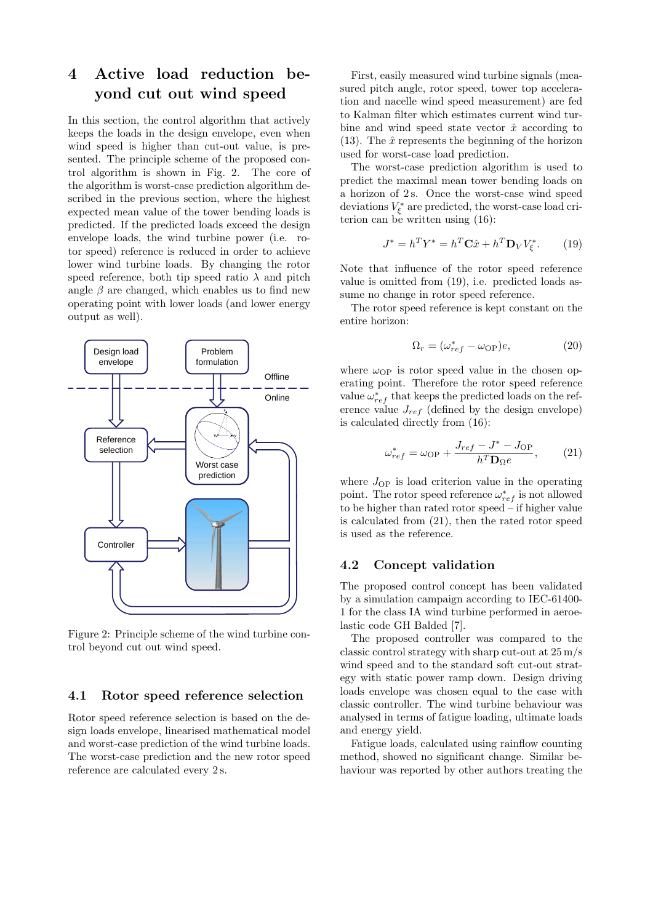# 4 Active load reduction beyond cut out wind speed

In this section, the control algorithm that actively keeps the loads in the design envelope, even when wind speed is higher than cut-out value, is presented. The principle scheme of the proposed control algorithm is shown in Fig. 2. The core of the algorithm is worst-case prediction algorithm described in the previous section, where the highest expected mean value of the tower bending loads is predicted. If the predicted loads exceed the design envelope loads, the wind turbine power (i.e. rotor speed) reference is reduced in order to achieve lower wind turbine loads. By changing the rotor speed reference, both tip speed ratio  $\lambda$  and pitch angle  $\beta$  are changed, which enables us to find new operating point with lower loads (and lower energy output as well).



Figure 2: Principle scheme of the wind turbine control beyond cut out wind speed.

#### 4.1 Rotor speed reference selection

Rotor speed reference selection is based on the design loads envelope, linearised mathematical model and worst-case prediction of the wind turbine loads. The worst-case prediction and the new rotor speed reference are calculated every 2 s.

First, easily measured wind turbine signals (measured pitch angle, rotor speed, tower top acceleration and nacelle wind speed measurement) are fed to Kalman filter which estimates current wind turbine and wind speed state vector  $\hat{x}$  according to (13). The  $\hat{x}$  represents the beginning of the horizon used for worst-case load prediction.

The worst-case prediction algorithm is used to predict the maximal mean tower bending loads on a horizon of 2 s. Once the worst-case wind speed deviations  $V_{\xi}^*$  are predicted, the worst-case load criterion can be written using (16):

$$
J^* = h^T Y^* = h^T \mathbf{C} \hat{x} + h^T \mathbf{D}_V V^*_{\xi}.
$$
 (19)

Note that influence of the rotor speed reference value is omitted from (19), i.e. predicted loads assume no change in rotor speed reference.

The rotor speed reference is kept constant on the entire horizon:

$$
\Omega_r = (\omega_{ref}^* - \omega_{\rm OP})e,\tag{20}
$$

where  $\omega_{\text{OP}}$  is rotor speed value in the chosen operating point. Therefore the rotor speed reference value  $\omega_{ref}^*$  that keeps the predicted loads on the reference value  $J_{ref}$  (defined by the design envelope) is calculated directly from (16):

$$
\omega_{ref}^* = \omega_{\rm OP} + \frac{J_{ref} - J^* - J_{\rm OP}}{h^T \mathbf{D}_{\Omega} e},\qquad(21)
$$

where  $J_{\rm OP}$  is load criterion value in the operating point. The rotor speed reference  $\omega_{ref}^*$  is not allowed to be higher than rated rotor speed  $\ddot{\text{-}}$  if higher value is calculated from (21), then the rated rotor speed is used as the reference.

#### 4.2 Concept validation

The proposed control concept has been validated by a simulation campaign according to IEC-61400- 1 for the class IA wind turbine performed in aeroelastic code GH Balded [7].

The proposed controller was compared to the classic control strategy with sharp cut-out at 25 m/s wind speed and to the standard soft cut-out strategy with static power ramp down. Design driving loads envelope was chosen equal to the case with classic controller. The wind turbine behaviour was analysed in terms of fatigue loading, ultimate loads and energy yield.

Fatigue loads, calculated using rainflow counting method, showed no significant change. Similar behaviour was reported by other authors treating the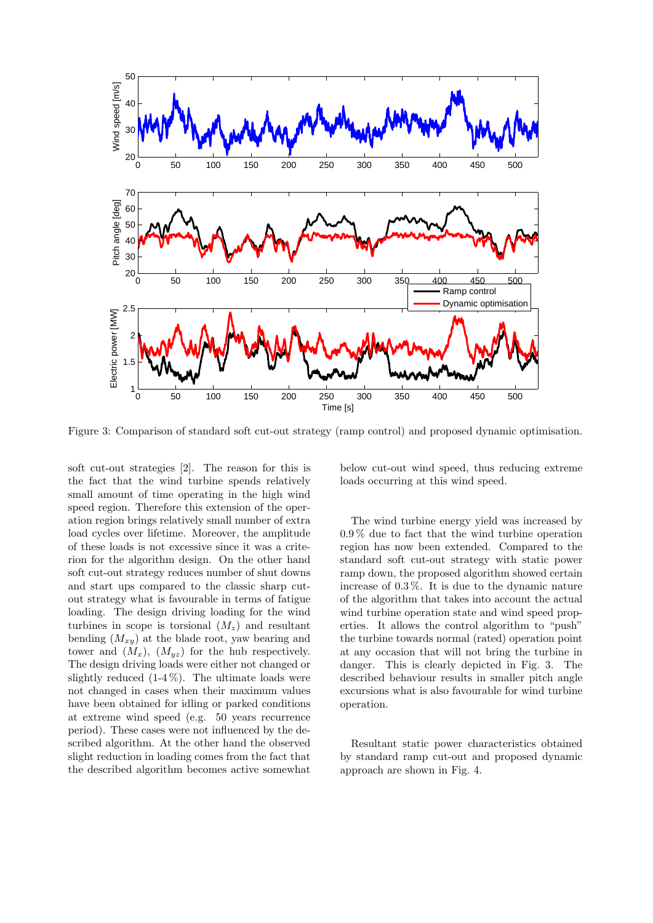

Figure 3: Comparison of standard soft cut-out strategy (ramp control) and proposed dynamic optimisation.

soft cut-out strategies [2]. The reason for this is the fact that the wind turbine spends relatively small amount of time operating in the high wind speed region. Therefore this extension of the operation region brings relatively small number of extra load cycles over lifetime. Moreover, the amplitude of these loads is not excessive since it was a criterion for the algorithm design. On the other hand soft cut-out strategy reduces number of shut downs and start ups compared to the classic sharp cutout strategy what is favourable in terms of fatigue loading. The design driving loading for the wind turbines in scope is torsional  $(M_z)$  and resultant bending  $(M_{xy})$  at the blade root, yaw bearing and tower and  $(M_x)$ ,  $(M_{yz})$  for the hub respectively. The design driving loads were either not changed or slightly reduced  $(1-4\%)$ . The ultimate loads were not changed in cases when their maximum values have been obtained for idling or parked conditions at extreme wind speed (e.g. 50 years recurrence period). These cases were not influenced by the described algorithm. At the other hand the observed slight reduction in loading comes from the fact that the described algorithm becomes active somewhat

below cut-out wind speed, thus reducing extreme loads occurring at this wind speed.

The wind turbine energy yield was increased by 0.9 % due to fact that the wind turbine operation region has now been extended. Compared to the standard soft cut-out strategy with static power ramp down, the proposed algorithm showed certain increase of 0.3 %. It is due to the dynamic nature of the algorithm that takes into account the actual wind turbine operation state and wind speed properties. It allows the control algorithm to "push" the turbine towards normal (rated) operation point at any occasion that will not bring the turbine in danger. This is clearly depicted in Fig. 3. The described behaviour results in smaller pitch angle excursions what is also favourable for wind turbine operation.

Resultant static power characteristics obtained by standard ramp cut-out and proposed dynamic approach are shown in Fig. 4.